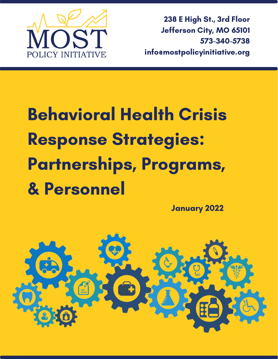

238 E High St., 3rd Floor Jefferson City, MO 65101 573-340-5738 info@mostpolicyinitiative.org

# Behavioral Health Crisis Response Strategies: Partnerships, Programs, & Personnel

January 2022

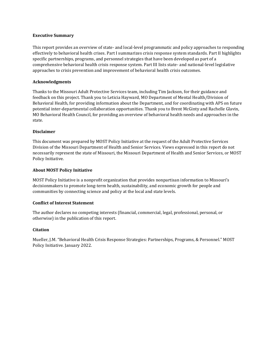#### **Executive Summary**

This report provides an overview of state- and local-level programmatic and policy approaches to responding effectively to behavioral health crises. Part I summarizes crisis response system standards. Part II highlights specific partnerships, programs, and personnel strategies that have been developed as part of a comprehensive behavioral health crisis response system. Part III lists state- and national-level legislative approaches to crisis prevention and improvement of behavioral health crisis outcomes.

#### **Acknowledgments**

Thanks to the Missouri Adult Protective Services team, including Tim Jackson, for their guidance and feedback on this project. Thank you to Leticia Hayward, MO Department of Mental Health/Division of Behavioral Health, for providing information about the Department, and for coordinating with APS on future potential inter-departmental collaboration opportunities. Thank you to Brent McGinty and Rachelle Glavin, MO Behavioral Health Council, for providing an overview of behavioral health needs and approaches in the state.

#### **Disclaimer**

This document was prepared by MOST Policy Initiative at the request of the Adult Protective Services Division of the Missouri Department of Health and Senior Services. Views expressed in this report do not necessarily represent the state of Missouri, the Missouri Department of Health and Senior Services, or MOST Policy Initiative.

#### **About MOST Policy Initiative**

MOST Policy Initiative is a nonprofit organization that provides nonpartisan information to Missouri's decisionmakers to promote long-term health, sustainability, and economic growth for people and communities by connecting science and policy at the local and state levels.

#### **Conflict of Interest Statement**

The author declares no competing interests (financial, commercial, legal, professional, personal, or otherwise) in the publication of this report.

#### **Citation**

Mueller, J.M. "Behavioral Health Crisis Response Strategies: Partnerships, Programs, & Personnel." MOST Policy Initiative. January 2022.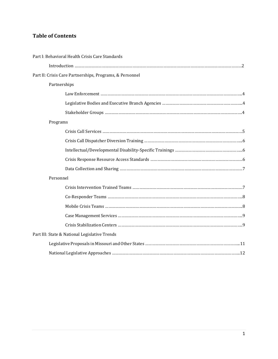# **Table of Contents**

| Part I: Behavioral Health Crisis Care Standards |                                                          |  |
|-------------------------------------------------|----------------------------------------------------------|--|
|                                                 |                                                          |  |
|                                                 | Part II: Crisis Care Partnerships, Programs, & Personnel |  |
| Partnerships                                    |                                                          |  |
|                                                 |                                                          |  |
|                                                 |                                                          |  |
|                                                 |                                                          |  |
| Programs                                        |                                                          |  |
|                                                 |                                                          |  |
|                                                 |                                                          |  |
|                                                 |                                                          |  |
|                                                 |                                                          |  |
|                                                 |                                                          |  |
| Personnel                                       |                                                          |  |
|                                                 |                                                          |  |
|                                                 |                                                          |  |
|                                                 |                                                          |  |
|                                                 |                                                          |  |
|                                                 |                                                          |  |
| Part III: State & National Legislative Trends   |                                                          |  |
|                                                 |                                                          |  |
|                                                 |                                                          |  |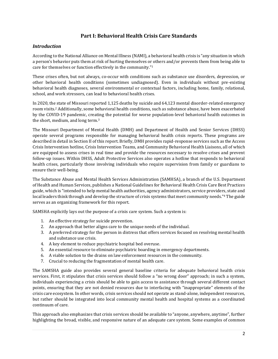# **Part I: Behavioral Health Crisis Care Standards**

#### *Introduction*

According to the National Alliance on Mental Illness (NAMI), a behavioral health crisis is "any situation in which a person's behavior puts them at risk of hurting themselves or others and/or prevents them from being able to care for themselves or function effectively in the community."<sup>1</sup>

These crises often, but not always, co-occur with conditions such as substance use disorders, depression, or other behavioral health conditions (sometimes undiagnosed). Even in individuals without pre-existing behavioral health diagnoses, several environmental or contextual factors, including home, family, relational, school, and work stressors, can lead to behavioral health crises.

In 2020, the state of Missouri reported 1,125 deaths by suicide and 64,123 mental disorder-related emergency room visits.<sup>2</sup> Additionally, some behavioral health conditions, such as substance abuse, have been exacerbated by the COVID-19 pandemic, creating the potential for worse population-level behavioral health outcomes in the short, medium, and long term. 3

The Missouri Department of Mental Health (DMH) and Department of Health and Senior Services (DHSS) operate several programs responsible for managing behavioral health crisis reports. These programs are described in detail in Section II of this report. Briefly, DMH provides rapid-response services such as the Access Crisis Intervention hotline, Crisis Intervention Teams, and Community Behavioral Health Liaisons, all of which are equipped to assess crises in real time and provide the resources necessary to resolve crises and prevent follow-up issues. Within DHSS, Adult Protective Services also operates a hotline that responds to behavioral health crises, particularly those involving individuals who require supervision from family or guardians to ensure their well-being.

The Substance Abuse and Mental Health Services Administration (SAMHSA), a branch of the U.S. Department of Health and Human Services, publishes a National Guidelines for Behavioral Health Crisis Care Best Practices guide, which is "intended to help mental health authorities, agency administrators, service providers, state and local leaders think through and develop the structure of crisis systems that meet community needs."<sup>4</sup> The guide serves as an organizing framework for this report.

SAMSHA explicitly lays out the purpose of a crisis care system. Such a system is:

- 1. An effective strategy for suicide prevention.
- 2. An approach that better aligns care to the unique needs of the individual.
- 3. A preferred strategy for the person in distress that offers services focused on resolving mental health and substance use crisis.
- 4. A key element to reduce psychiatric hospital bed overuse.
- 5. An essential resource to eliminate psychiatric boarding in emergency departments.
- 6. A viable solution to the drains on law enforcement resources in the community.
- 7. Crucial to reducing the fragmentation of mental health care.

The SAMSHA guide also provides several general baseline criteria for adequate behavioral health crisis services. First, it stipulates that crisis services should follow a "no wrong door" approach; in such a system, individuals experiencing a crisis should be able to gain access to assistance through several different contact points, ensuring that they are not denied resources due to interfacing with "inappropriate" elements of the crisis care ecosystem. In other words, crisis services should not operate as stand-alone, independent resources, but rather should be integrated into local community mental health and hospital systems as a coordinated continuum of care.

This approach also emphasizes that crisis services should be available to "anyone, anywhere, anytime", further highlighting the broad, visible, and responsive nature of an adequate care system. Some examples of common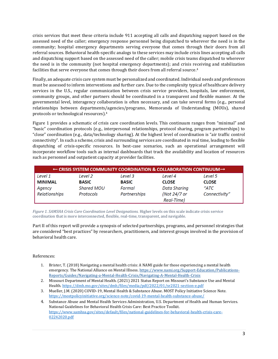crisis services that meet these criteria include 911 accepting all calls and dispatching support based on the assessed need of the caller; emergency response personnel being dispatched to wherever the need is in the community; hospital emergency departments serving everyone that comes through their doors from all referral sources. Behavioral health-specific analogs to these services may include crisis lines accepting all calls and dispatching support based on the assessed need of the caller; mobile crisis teams dispatched to wherever the need is in the community (not hospital emergency departments); and crisis receiving and stabilization facilities that serve everyone that comes through their doors from all referral source. 4

Finally, an adequate crisis care system must be personalized and coordinated. Individual needs and preferences must be assessed to inform interventions and further care. Due to the complexity typical of healthcare delivery services in the U.S., regular communication between crisis service providers, hospitals, law enforcement, community groups, and other partners should be coordinated in a transparent and flexible manner. At the governmental level, interagency collaboration is often necessary, and can take several forms (e.g., personal relationships between departments/agencies/programs, Memoranda of Understanding (MOUs), shared protocols or technological resources). 4

Figure 1 provides a schematic of crisis care coordination levels. This continuum ranges from "minimal" and "basic" coordination protocols (e.g., interpersonal relationships, protocol sharing, program partnerships) to "close" coordination (e.g., data/technology sharing). At the highest level of coordination is "air traffic control connectivity". In such a scheme, crisis and surrounding services are coordinated in real time, leading to flexible dispatching of crisis-specific resources. In best-case scenarios, such an operational arrangement will incorporate workflow tools such as internal dashboards that track the availability and location of resources such as personnel and outpatient capacity at provider facilities.

| $\leftarrow$ CRISIS SYSTEM COMMUNITY COORDINATION & COLLABORATION CONTINUUM $\rightarrow$ |                   |              |                     |               |
|-------------------------------------------------------------------------------------------|-------------------|--------------|---------------------|---------------|
| Level 1                                                                                   | Level 2           | Level 3      | Level 4             | Level 5       |
| <b>MINIMAL</b>                                                                            | <b>BASIC</b>      | <b>BASIC</b> | <b>CLOSE</b>        | <b>CLOSE</b>  |
| Agency                                                                                    | <b>Shared MOU</b> | Formal       | <b>Data Sharing</b> | "ATC          |
| Relationships                                                                             | Protocols         | Partnerships | (Not 24/7 or        | Connectivity" |
|                                                                                           |                   |              | Real-Time)          |               |

*Figure 1. SAMSHA Crisis Care Coordination Level Designations.* Higher levels on this scale indicate crisis service coordination that is more interconnected, flexible, real-time, transparent, and navigable.

Part II of this report will provide a synopsis of selected partnerships, programs, and personnel strategies that are considered "best practices" by researchers, practitioners, and interest groups involved in the provision of behavioral health care.

#### References:

- 1. Brister, T. (2018) Navigating a mental health crisis: A NAMI guide for those experiencing a mental health emergency. The National Alliance on Mental Illness[. https://www.nami.org/Support-Education/Publications-](https://www.nami.org/Support-Education/Publications-Reports/Guides/Navigating-a-Mental-Health-Crisis/Navigating-A-Mental-Health-Crisis)[Reports/Guides/Navigating-a-Mental-Health-Crisis/Navigating-A-Mental-Health-Crisis](https://www.nami.org/Support-Education/Publications-Reports/Guides/Navigating-a-Mental-Health-Crisis/Navigating-A-Mental-Health-Crisis)
- 2. Missouri Department of Mental Health. (2021) 2021 Status Report on Missouri's Substance Use and Mental Health[. https://dmh.mo.gov/sites/dmh/files/media/pdf/2022/01/sr2021-section-e.pdf](https://dmh.mo.gov/sites/dmh/files/media/pdf/2022/01/sr2021-section-e.pdf)
- 3. Mueller, J.M. (2020) COVID-19, Mental Health & Substance Abuse. MOST Policy Initiative Science Note. <https://mostpolicyinitiative.org/science-note/covid-19-mental-health-substance-abuse/>
- 4. Substance Abuse and Mental Health Services Administration, U.S. Department of Health and Human Services. National Guidelines for Behavioral Health Crisis Care: Best Practice Toolkit. [https://www.samhsa.gov/sites/default/files/national-guidelines-for-behavioral-health-crisis-care-](https://www.samhsa.gov/sites/default/files/national-guidelines-for-behavioral-health-crisis-care-02242020.pdf)[02242020.pdf](https://www.samhsa.gov/sites/default/files/national-guidelines-for-behavioral-health-crisis-care-02242020.pdf)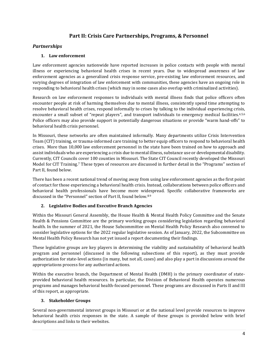# **Part II: Crisis Care Partnerships, Programs, & Personnel**

# *Partnerships*

# **1. Law enforcement**

Law enforcement agencies nationwide have reported increases in police contacts with people with mental illness or experiencing behavioral health crises in recent years. Due to widespread awareness of law enforcement agencies as a generalized crisis response service, pre-existing law enforcement resources, and varying degrees of integration of law enforcement with communities, these agencies have an ongoing role in responding to behavioral health crises (which may in some cases also overlap with criminalized activities).

Research on law enforcement responses to individuals with mental illness finds that police officers often encounter people at risk of harming themselves due to mental illness, consistently spend time attempting to resolve behavioral health crises, respond informally to crises by talking to the individual experiencing crisis, encounter a small subset of "repeat players", and transport individuals to emergency medical facilities.<sup>4,5,6</sup> Police officers may also provide support in potentially dangerous situations or provide "warm hand-offs" to behavioral health crisis personnel.

In Missouri, these networks are often maintained informally. Many departments utilize Crisis Intervention Team (CIT) training, or trauma-informed care training to better equip officers to respond to behavioral health crises. More than 10,000 law enforcement personnel in the state have been trained on how to approach and assist individuals who are experiencing a crisis due to mental illness, substance use or developmental disability. Currently, CIT Councils cover 100 counties in Missouri. The State CIT Council recently developed the Missouri Model for CIT Training.<sup>7</sup> These types of resources are discussed in further detail in the "Programs" section of Part II, found below.

There has been a recent national trend of moving away from using law enforcement agencies as the first point of contact for those experiencing a behavioral health crisis. Instead, collaborations between police officers and behavioral health professionals have become more widespread. Specific collaborative frameworks are discussed in the "Personnel" section of Part II, found below.8.9

# **2. Legislative Bodies and Executive Branch Agencies**

Within the Missouri General Assembly, the House Health & Mental Health Policy Committee and the Senate Health & Pensions Committee are the primary working groups considering legislation regarding behavioral health. In the summer of 2021, the House Subcommittee on Mental Health Policy Research also convened to consider legislative options for the 2022 regular legislative session. As of January, 2022, the Subcommittee on Mental Health Policy Research has not yet issued a report documenting their findings.

These legislative groups are key players in determining the viability and sustainability of behavioral health program and personnel (discussed in the following subsections of this report), as they must provide authorization for state-level actions (in many, but not all, cases) and also play a part in discussions around the appropriations process for any authorized actions.

Within the executive branch, the Department of Mental Health (DMH) is the primary coordinator of stateprovided behavioral health resources. In particular, the Division of Behavioral Health operates numerous programs and manages behavioral health-focused personnel. These programs are discussed in Parts II and III of this report, as appropriate.

#### **3. Stakeholder Groups**

Several non-governmental interest groups in Missouri or at the national level provide resources to improve behavioral health crisis responses in the state. A sample of these groups is provided below with brief descriptions and links to their websites.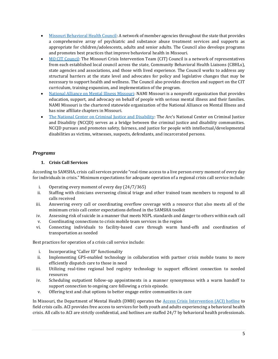- [Missouri Behavioral Health Council:](https://www.mobhc.org/) A network of member agencies throughout the state that provides a comprehensive array of psychiatric and substance abuse treatment services and supports as appropriate for children/adolescents, adults and senior adults. The Council also develops programs and promotes best practices that improve behavioral health in Missouri.
- [MO CIT Council:](https://www.missouricit.org/) The Missouri Crisis Intervention Team (CIT) Council is a network of representatives from each established local council across the state, Community Behavioral Health Liaisons (CBHLs), state agencies and associations, and those with lived experience. The Council works to address any structural barriers at the state level and advocates for policy and legislative changes that may be necessary to support health and wellness. The Council also provides direction and support on the CIT curriculum, training expansion, and implementation of the program.
- [National Alliance on Mental Illness Missouri:](https://namimissouri.org/) NAMI Missouri is a nonprofit organization that provides education, support, and advocacy on behalf of people with serious mental illness and their families. NAMI Missouri is the chartered statewide organization of the National Alliance on Mental Illness and has nine affiliate chapters in Missouri.
- [The National Center on Criminal Justice and Disability:](http://www.thearc.org/our-initiatives/criminal-justice/) The Arc's National Center on Criminal Justice and Disability (NCCJD) serves as a bridge between the criminal justice and disability communities. NCCJD pursues and promotes safety, fairness, and justice for people with intellectual/developmental disabilities as victims, witnesses, suspects, defendants, and incarcerated persons.

# *Programs*

# **1. Crisis Call Services**

According to SAMSHA, crisis call services provide "real-time access to a live person every moment of every day for individuals in crisis." Minimum expectations for adequate operation of a regional crisis call service include:

- i. Operating every moment of every day (24/7/365)
- ii. Staffing with clinicians overseeing clinical triage and other trained team members to respond to all calls received
- iii. Answering every call or coordinating overflow coverage with a resource that also meets all of the minimum crisis call center expectations defined in the SAMSHA toolkit
- iv. Assessing risk of suicide in a manner that meets NSPL standards and danger to others within each call
- v. Coordinating connections to crisis mobile team services in the region
- vi. Connecting individuals to facility-based care through warm hand-offs and coordination of transportation as needed

Best practices for operation of a crisis call service include:

- i. Incorporating "Caller ID" functionality
- ii. Implementing GPS-enabled technology in collaboration with partner crisis mobile teams to more efficiently dispatch care to those in need
- iii. Utilizing real-time regional bed registry technology to support efficient connection to needed resources
- iv. Scheduling outpatient follow-up appointments in a manner synonymous with a warm handoff to support connection to ongoing care following a crisis episode.
- v. Offering text and chat options to better engage entire communities in care

In Missouri, the Department of Mental Health (DMH) operates the [Access Crisis Intervention \(ACI\) hotline](https://dmh.mo.gov/behavioral-health/treatment-services/specialized-programs/behavioral-health-crisis-hotline) to field crisis calls. ACI provides free access to services for both youth and adults experiencing a behavioral health crisis. All calls to ACI are strictly confidential, and hotlines are staffed 24/7 by behavioral health professionals.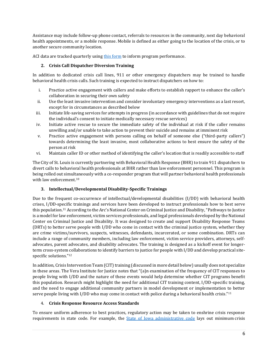Assistance may include follow-up phone contact, referrals to resources in the community, next day behavioral health appointments, or a mobile response. Mobile is defined as either going to the location of the crisis, or to another secure community location.

ACI data are tracked quarterly usin[g this form](https://dmh.mo.gov/media/pdf/aci-quarterly-report) to inform program performance.

#### **2. Crisis Call Dispatcher Diversion Training**

In addition to dedicated crisis call lines, 911 or other emergency dispatchers may be trained to handle behavioral health crisis calls. Such training is expected to instruct dispatchers on how to:

- i. Practice active engagement with callers and make efforts to establish rapport to enhance the caller's collaboration in securing their own safety
- ii. Use the least invasive intervention and consider involuntary emergency interventions as a last resort, except for in circumstances as described below
- iii. Initiate life-saving services for attempts in progress (in accordance with guidelines that do not require the individual's consent to initiate medically necessary rescue services)
- iv. Initiate active rescue to secure the immediate safety of the individual at risk if the caller remains unwilling and/or unable to take action to prevent their suicide and remains at imminent risk
- v. Practice active engagement with persons calling on behalf of someone else ("third-party callers") towards determining the least invasive, most collaborative actions to best ensure the safety of the person at risk
- vi. Maintain caller ID or other method of identifying the caller's location that is readily accessible to staff

The City of St. Louis is currently partnering with Behavioral Health Response (BHR) to train 911 dispatchers to divert calls to behavioral health professionals at BHR rather than law enforcement personnel. This program is being rolled out simultaneously with a co-responder program that will partner behavioral health professionals with law enforcement.<sup>10</sup>

#### **3. Intellectual/Developmental Disability-Specific Trainings**

Due to the frequent co-occurrence of intellectual/developmental disabilities (I/DD) with behavioral health crises, I/DD-specific trainings and services have been developed to instruct professionals how to best serve this population.<sup>11</sup> According to the Arc's National Center on Criminal Justice and Disability, "Pathways to Justice is a model for law enforcement, victim services professionals, and legal professionals developed by the National Center on Criminal Justice and Disability. It was designed to create and support Disability Response Teams (DRTs) to better serve people with I/DD who come in contact with the criminal justice system, whether they are crime victims/survivors, suspects, witnesses, defendants, incarcerated, or some combination. DRTs can include a range of community members, including law enforcement, victim service providers, attorneys, selfadvocates, parent advocates, and disability advocates. The training is designed as a kickoff event for longerterm cross-system collaborations to identify barriers to justice for people with I/DD and develop practical sitespecific solutions." 12

In addition, Crisis Intervention Team (CIT) training (discussed in more detail below) usually does not specialize in these areas. The Vera Institute for Justice notes that "(a)n examination of the frequency of CIT responses to people living with I/DD and the nature of these events would help determine whether CIT programs benefit this population. Research might highlight the need for additional CIT training content, I/DD-specific training, and the need to engage additional community partners in model development or implementation to better serve people living with I/DD who may come in contact with police during a behavioral health crisis."<sup>11</sup>

#### 4. **Crisis Response Resource Access Standards**

To ensure uniform adherence to best practices, regulatory action may be taken to enshrine crisis response requirements in state code. For example, the *State of Iowa administrative code* lays out minimum crisis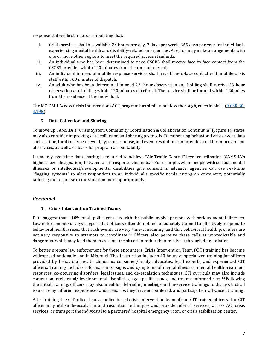response statewide standards, stipulating that:

- i. Crisis services shall be available 24 hours per day, 7 days per week, 365 days per year for individuals experiencing mental health and disability-related emergencies. A region may make arrangements with one or more other regions to meet the required access standards.
- ii. An individual who has been determined to need CSCBS shall receive face-to-face contact from the CSCBS provider within 120 minutes from the time of referral.
- iii. An individual in need of mobile response services shall have face-to-face contact with mobile crisis staff within 60 minutes of dispatch.
- iv. An adult who has been determined to need 23 -hour observation and holding shall receive 23-hour observation and holding within 120 minutes of referral. The service shall be located within 120 miles from the residence of the individual.

The MO DMH Access Crisis Intervention (ACI) program has similar, but less thorough, rules in place [\(9 CSR 30-](https://www.sos.mo.gov/cmsimages/adrules/csr/current/9csr/9c30-4.pdf) [4.195\)](https://www.sos.mo.gov/cmsimages/adrules/csr/current/9csr/9c30-4.pdf).

#### 5. **Data Collection and Sharing**

To move up SAMSHA's "Crisis System Community Coordination & Collaboration Continuum" (Figure 1), states may also consider improving data collection and sharing protocols. Documenting behavioral crisis event data such as time, location, type of event, type of response, and event resolution can provide a tool for improvement of services, as well as a basis for program accountability.

Ultimately, real-time data-sharing is required to achieve "Air Traffic Control"-level coordination (SAMSHA's highest-level designation) between crisis response elements.<sup>13</sup> For example**,** when people with serious mental illnesses or intellectual/developmental disabilities give consent in advance, agencies can use real-time "flagging systems" to alert responders to an individual's specific needs during an encounter, potentially tailoring the response to the situation more appropriately.

# *Personnel*

#### **1. Crisis Intervention Trained Teams**

Data suggest that  $\sim$ 10% of all police contacts with the public involve persons with serious mental illnesses. Law enforcement surveys suggest that officers often do not feel adequately trained to effectively respond to behavioral health crises, that such events are very time-consuming, and that behavioral health providers are not very responsive to attempts to coordinate.<sup>14</sup> Officers also perceive these calls as unpredictable and dangerous, which may lead them to escalate the situation rather than resolve it through de-escalation.

To better prepare law enforcement for these encounters, Crisis Intervention Team (CIT) training has become widespread nationally and in Missouri. This instruction includes 40 hours of specialized training for officers provided by behavioral health clinicians, consumer/family advocates, legal experts, and experienced CIT officers. Training includes information on signs and symptoms of mental illnesses, mental health treatment resources, co-occurring disorders, legal issues, and de-escalation techniques. CIT curricula may also include content on intellectual/developmental disabilities, age-specific issues, and trauma-informed care.<sup>14</sup> Following the initial training, officers may also meet for debriefing meetings and in-service trainings to discuss tactical issues, relay different experiences and scenarios they have encountered, and participate in advanced training.

After training, the CIT officer leads a police-based crisis intervention team of non-CIT-trained officers. The CIT officer may utilize de-escalation and resolution techniques and provide referral services, access ACI crisis services, or transport the individual to a partnered hospital emergency room or crisis stabilization center.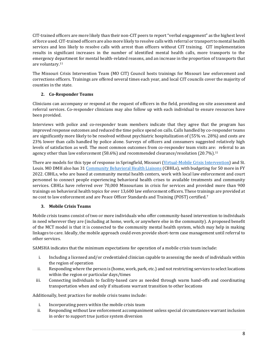CIT-trained officers are more likely than their non-CIT peers to report "verbal engagement" as the highest level of force used. CIT-trained officers are also more likely to resolve calls with referral or transport to mental health services and less likely to resolve calls with arrest than officers without CIT training. CIT implementation results in significant increases in the number of identified mental health calls, more transports to the emergency department for mental health-related reasons, and an increase in the proportion of transports that are voluntary.<sup>11</sup>

The Missouri Crisis Intervention Team (MO CIT) Council hosts trainings for Missouri law enforcement and corrections officers. Trainings are offered several times each year, and local CIT councils cover the majority of counties in the state.

# **2. Co-Responder Teams**

Clinicians can accompany or respond at the request of officers in the field, providing on-site assessment and referral services. Co-responder clinicians may also follow up with each individual to ensure resources have been provided.

Interviews with police and co-responder team members indicate that they agree that the program has improved response outcomes and reduced the time police spend on calls. Calls handled by co-responder teams are significantly more likely to be resolved without psychiatric hospitalization of (55% vs. 28%) and costs are 23% lower than calls handled by police alone. Surveys of officers and consumers suggested relatively high levels of satisfaction as well. The most common outcomes from co-responder team visits are: referral to an agency other than law enforcement (58.6%) and recommended clearance/resolution (20.7%).<sup>11</sup>

There are models for this type of response in Springfield, Missouri [\(Virtual-Mobile Crisis Intervention\)](https://www.ibhi.net/2017MiamiPresentations/16%20Burrell.pdf) and St. Louis. MO DMH also has 31 [Community Behavioral Health Liaisons](https://dmh.mo.gov/behavioral-health/treatment-services/specialized-programs/liaisons) (CBHLs), with budgeting for 50 more in FY 2022. CBHLs, who are based at community mental health centers, work with local law enforcement and court personnel to connect people experiencing behavioral health crises to available treatments and community services. CBHLs have referred over 70,000 Missourians in crisis for services and provided more than 900 trainings on behavioral health topics for over 13,600 law enforcement officers. These trainings are provided at no cost to law enforcement and are Peace Officer Standards and Training (POST) certified.<sup>7</sup>

# **3. Mobile Crisis Teams**

Mobile crisis teams consist of two or more individuals who offer community-based intervention to individuals in need wherever they are (including at home, work, or anywhere else in the community). A proposed benefit of the MCT model is that it is connected to the community mental health system, which may help in making linkages to care. Ideally, the mobile approach could even provide short-term case management until referral to other services.

SAMSHA indicates that the minimum expectations for operation of a mobile crisis team include:

- i. Including a licensed and/or credentialed clinician capable to assessing the needs of individuals within the region of operation
- ii. Responding where the person is (home, work, park, etc.) and not restricting services to select locations within the region or particular days/times
- iii. Connecting individuals to facility-based care as needed through warm hand-offs and coordinating transportation when and only if situations warrant transition to other locations

Additionally, best practices for mobile crisis teams include:

- i. Incorporating peers within the mobile crisis team
- ii. Responding without law enforcement accompaniment unless special circumstances warrant inclusion in order to support true justice system diversion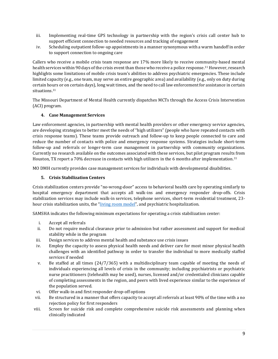- iii. Implementing real-time GPS technology in partnership with the region's crisis call center hub to support efficient connection to needed resources and tracking of engagement
- iv. Scheduling outpatient follow-up appointments in a manner synonymous with a warm handoff in order to support connection to ongoing care

Callers who receive a mobile crisis team response are 17% more likely to receive community-based mental health services within 90 days of the crisis event than those who receive a police response.<sup>11</sup> However, research highlights some limitations of mobile crisis team's abilities to address psychiatric emergencies. These include limited capacity (e.g., one team, may serve an entire geographic area) and availability (e.g., only on duty during certain hours or on certain days), long wait times, and the need to call law enforcement for assistance in certain situations.<sup>11</sup>

The Missouri Department of Mental Health currently dispatches MCTs through the Access Crisis Intervention (ACI) program.

#### **4. Case Management Services**

Law enforcement agencies, in partnership with mental health providers or other emergency service agencies, are developing strategies to better meet the needs of "high utilizers" (people who have repeated contacts with crisis response teams). These teams provide outreach and follow-up to keep people connected to care and reduce the number of contacts with police and emergency response systems. Strategies include short-term follow-up and referrals or longer-term case management in partnership with community organizations. Currently no research available on the outcomes associated with these services, but pilot program results from Houston, TX report a 70% decrease in contacts with high utilizers in the 6 months after implementation.<sup>11</sup>

MO DMH currently provides case management services for individuals with developmental disabilities.

#### **5. Crisis Stabilization Centers**

Crisis stabilization centers provide "no-wrong-door" access to behavioral health care by operating similarly to hospital emergency department that accepts all walk-ins and emergency responder drop-offs. Crisis stabilization services may include walk-in services, telephone services, short-term residential treatment, 23 hour crisis stabilization units, the "[living room model](https://www.nami.org/Blogs/NAMI-Blog/September-2020/Responding-to-Crisis-The-Crisis-Living-Room)", and psychiatric hospitalization.

SAMSHA indicates the following minimum expectations for operating a crisis stabilization center:

- i. Accept all referrals
- ii. Do not require medical clearance prior to admission but rather assessment and support for medical stability while in the program
- iii. Design services to address mental health and substance use crisis issues
- iv. Employ the capacity to assess physical health needs and deliver care for most minor physical health challenges with an identified pathway in order to transfer the individual to more medically staffed services if needed
- v. Be staffed at all times (24/7/365) with a multidisciplinary team capable of meeting the needs of individuals experiencing all levels of crisis in the community; including psychiatrists or psychiatric nurse practitioners (telehealth may be used), nurses, licensed and/or credentialed clinicians capable of completing assessments in the region, and peers with lived experience similar to the experience of the population served.
- vi. Offer walk-in and first responder drop-off options
- vii. Be structured in a manner that offers capacity to accept all referrals at least 90% of the time with a no rejection policy for first responders
- viii. Screen for suicide risk and complete comprehensive suicide risk assessments and planning when clinically indicated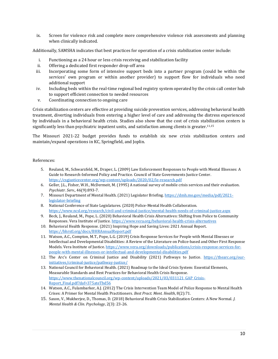ix. Screen for violence risk and complete more comprehensive violence risk assessments and planning when clinically indicated.

Additionally, SAMSHA indicates that best practices for operation of a crisis stabilization center include:

- i. Functioning as a 24 hour or less crisis receiving and stabilization facility
- ii. Offering a dedicated first responder drop-off area
- iii. Incorporating some form of intensive support beds into a partner program (could be within the services' own program or within another provider) to support flow for individuals who need additional support
- iv. Including beds within the real-time regional bed registry system operated by the crisis call center hub to support efficient connection to needed resources
- v. Coordinating connection to ongoing care

Crisis stabilization centers are effective at providing suicide prevention services, addressing behavioral health treatment, diverting individuals from entering a higher level of care and addressing the distress experienced by individuals in a behavioral health crisis. Studies also show that the cost of crisis stabilization centers is significantly less than psychiatric inpatient units, and satisfaction among clients is greater.<sup>11,15</sup>

The Missouri 2021-22 budget provides funds to establish six new crisis stabilization centers and maintain/expand operations in KC, Springfield, and Joplin.

#### References:

- 5. Reuland, M., Schwarzfeld, M., Draper, L. (2009) Law Enforcement Responses to People with Mental Illnesses: A Guide to Research-Informed Policy and Practice. Council of State Governments Justice Center. <https://csgjusticecenter.org/wp-content/uploads/2020/02/le-research.pdf>
- 6. Geller, J.L., Fisher, W.H., McDermeit, M. (1995) A national survey of mobile crisis services and their evaluation. *Psychiatr. Serv.,* 46(9):893-7.
- 7. Missouri Department of Mental Health. (2021) Legislator Briefing. [https://dmh.mo.gov/media/pdf/2021](https://dmh.mo.gov/media/pdf/2021-legislator-briefing) [legislator-briefing](https://dmh.mo.gov/media/pdf/2021-legislator-briefing)
- 8. National Conference of State Legislatures. (2020) Police-Mental Health Collaboration. <https://www.ncsl.org/research/civil-and-criminal-justice/mental-health-needs-of-criminal-justice.aspx>
- 9. Beck, J., Reuland, M., Pope, L. (2020) Behavioral Health Crisis Alternatives: Shifting from Police to Community Responses. Vera Institute of Justice[. https://www.vera.org/behavioral-health-crisis-alternatives](https://www.vera.org/behavioral-health-crisis-alternatives)
- 10. Behavioral Health Response. (2021) Inspiring Hope and Saving Lives: 2021 Annual Report. <https://bhrstl.org/docs/BHRAnnualReport.pdf>
- 11. Watson, A.C., Compton, M.T., Pope, L.G. (2019) Crisis Response Services for People with Mental Illnesses or Intellectual and Developmental Disabilities: A Review of the Literature on Police-based and Other First Response Models. Vera Institute of Justice[. https://www.vera.org/downloads/publications/crisis-response-services-for](https://www.vera.org/downloads/publications/crisis-response-services-for-people-with-mental-illnesses-or-intellectual-and-developmental-disabilities.pdf)[people-with-mental-illnesses-or-intellectual-and-developmental-disabilities.pdf](https://www.vera.org/downloads/publications/crisis-response-services-for-people-with-mental-illnesses-or-intellectual-and-developmental-disabilities.pdf)
- 12. The Arc's Center on Criminal Justice and Disability (2021) Pathways to Justice. [https://thearc.org/our](https://thearc.org/our-initiatives/criminal-justice/pathway-justice/)[initiatives/criminal-justice/pathway-justice/](https://thearc.org/our-initiatives/criminal-justice/pathway-justice/)
- 13. National Council for Behavioral Health. (2021) Roadmap to the Ideal Crisis System: Essential Elements, Measurable Standards and Best Practices for Behavioral Health Crisis Response. [https://www.thenationalcouncil.org/wp-content/uploads/2021/03/031121\\_GAP\\_Crisis-](https://www.thenationalcouncil.org/wp-content/uploads/2021/03/031121_GAP_Crisis-Report_Final.pdf?daf=375ateTbd56)Report Final.pdf?daf=375ateTbd56
- 14. Watson, A.C., Fulambarker, A.J. (2012) The Crisis Intervention Team Model of Police Response to Mental Health Crises: A Primer for Mental Health Practitioners. *Best Pract. Ment. Health*, 8(2):71.
- 15. Saxon, V., Mukherjee, D., Thomas, D. (2018) Behavioral Health Crisis Stabilization Centers: A New Normal. *J. Mental Health & Clin. Psychology*, 2(3): 23-26.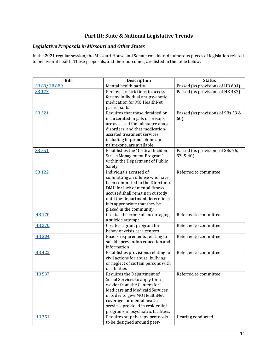# **Part III: State & National Legislative Trends**

# *Legislative Proposals in Missouri and Other States*

In the 2021 regular session, the Missouri House and Senate considered numerous pieces of legislation related to behavioral health. These proposals, and their outcomes, are listed in the table below.

| <b>Bill</b>   | <b>Description</b>                                                                                                                                                                                                                                                      | <b>Status</b>                                 |
|---------------|-------------------------------------------------------------------------------------------------------------------------------------------------------------------------------------------------------------------------------------------------------------------------|-----------------------------------------------|
| SB 80/HB 889  | Mental health parity                                                                                                                                                                                                                                                    | Passed (as provisions of HB 604)              |
| SB 173        | Removes restrictions to access<br>for any individual antipsychotic<br>medication for MO HealthNet<br>participants                                                                                                                                                       | Passed (as provisions of HB 432)              |
| SB 521        | Requires that those detained or<br>incarcerated in jails or prisons<br>are assessed for substance abuse<br>disorders, and that medication-<br>assisted treatment services,<br>including buprenorphine and<br>naltrexone, are available                                  | Passed (as provisions of SBs 53 &<br>60)      |
| SB 551        | Establishes the "Critical Incident<br><b>Stress Management Program"</b><br>within the Department of Public<br>Safety                                                                                                                                                    | Passed (as provisions of SBs 26,<br>53, & 60) |
| <b>SB 122</b> | Individuals accused of<br>committing an offense who have<br>been committed to the Director of<br>DMH for lack of mental fitness<br>accused shall remain in custody<br>until the Department determines<br>it is appropriate that they be<br>placed in the community      | Referred to committee                         |
| <b>HB 170</b> | Creates the crime of encouraging<br>a suicide attempt                                                                                                                                                                                                                   | Referred to committee                         |
| <b>HB 270</b> | Creates a grant program for<br>behavior crisis care centers                                                                                                                                                                                                             | Referred to committee                         |
| <b>HB</b> 304 | Enacts requirements relating to<br>suicide prevention education and<br>information                                                                                                                                                                                      | Referred to committee                         |
| <b>HB422</b>  | Establishes provisions relating to<br>civil actions for abuse, bullying,<br>or neglect of certain persons with<br>disabilities                                                                                                                                          | Referred to committee                         |
| <b>HB 537</b> | Requires the Department of<br>Social Services to apply for a<br>wavier from the Centers for<br>Medicare and Medicaid Services<br>in order to give MO HealthNet<br>coverage for mental health<br>services provided in residential<br>programs in psychiatric facilities. | Referred to committee                         |
| <b>HB751</b>  | Requires step therapy protocols<br>to be designed around peer-                                                                                                                                                                                                          | Hearing conducted                             |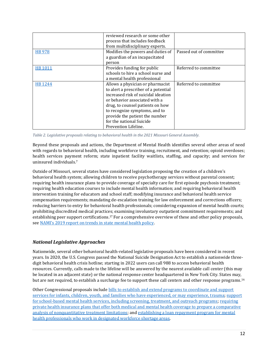|              | reviewed research or some other<br>process that includes feedback<br>from multidisciplinary experts. |                         |
|--------------|------------------------------------------------------------------------------------------------------|-------------------------|
|              | Modifies the powers and duties of                                                                    | Passed out of committee |
| <b>HB978</b> |                                                                                                      |                         |
|              | a guardian of an incapacitated                                                                       |                         |
|              | person                                                                                               |                         |
| HB 1011      | Provides funding for public                                                                          | Referred to committee   |
|              | schools to hire a school nurse and                                                                   |                         |
|              | a mental health professional                                                                         |                         |
|              |                                                                                                      |                         |
| HB 1244      | Allows a physician or pharmacist                                                                     | Referred to committee   |
|              | to alert a prescriber of a potential                                                                 |                         |
|              | increased risk of suicidal ideation                                                                  |                         |
|              | or behavior associated with a                                                                        |                         |
|              | drug, to counsel patients on how                                                                     |                         |
|              | to recognize symptoms, and to                                                                        |                         |
|              | provide the patient the number                                                                       |                         |
|              | for the national Suicide                                                                             |                         |
|              | Prevention Lifeline.                                                                                 |                         |

*Table 2. Legislative proposals relating to behavioral health in the 2021 Missouri General Assembly.*

Beyond these proposals and actions, the Department of Mental Health identifies several other areas of need with regards to behavioral health, including workforce training, recruitment, and retention; opioid overdoses; health services payment reform; state inpatient facility waitlists, staffing, and capacity; and services for uninsured individuals.<sup>7</sup>

Outside of Missouri, several states have considered legislation proposing the creation of a children's behavioral health system; allowing children to receive psychotherapy services without parental consent; requiring health insurance plans to provide coverage of specialty care for first episode psychosis treatment; requiring health education courses to include mental health information; and requiring behavioral health intervention training for educators and school staff; modifying insurance and behavioral health service compensation requirements; mandating de-escalation training for law enforcement and corrections officers; reducing barriers to entry for behavioral health professionals; considering expansion of mental health courts; prohibiting discredited medical practices; examining involuntary outpatient commitment requirements; and establishing peer support certifications.<sup>17</sup> For a comprehensive overview of these and other policy proposals, see NAMI's 2[019 report on trends in state mental health policy.](https://www.nami.org/Support-Education/Publications-Reports/Public-Policy-Reports/NAMI-State-Legislation-Report-Trends-in-State-Mental-Health-Policy-(2019)/NAMI-2019-State-Legislation-Report-FINAL.pdf)

# *National Legislative Approaches*

Nationwide, several other behavioral health-related legislative proposals have been considered in recent years. In 2020, the U.S. Congress passed the National Suicide Designation Act to establish a nationwide threedigit behavioral health crisis hotline; starting in 2022 users can call 988 to access behavioral health resources. Currently, calls made to the lifeline will be answered by the nearest available call center (this may be located in an adjacent state) or the national response center headquartered in New York City. States may, but are not required, to establish a surcharge fee to support these call centers and other response programs.<sup>16</sup>

Other Congressional proposals include [bills to establish and extend programs to coordinate and support](https://www.congress.gov/bill/116th-congress/house-bill/3180)  [services for infants, children, youth, and families who have experienced, or may experience, trauma;](https://www.congress.gov/bill/116th-congress/house-bill/3180) [support](https://www.congress.gov/bill/116th-congress/house-bill/1109)  [for school-based mental health services, including screening, treatment, and outreach programs;](https://www.congress.gov/bill/116th-congress/house-bill/1109) [requiring](https://www.congress.gov/bill/116th-congress/house-bill/3165)  [private health insurance plans that offer both medical and mental health coverage to prepare a comparative](https://www.congress.gov/bill/116th-congress/house-bill/3165)  [analysis of nonquantitative treatment limitations;](https://www.congress.gov/bill/116th-congress/house-bill/3165) and [establishing a loan repayment program for mental](https://www.congress.gov/bill/115th-congress/house-bill/6597)  [health professionals who work in designated workforce shortage areas.](https://www.congress.gov/bill/115th-congress/house-bill/6597)